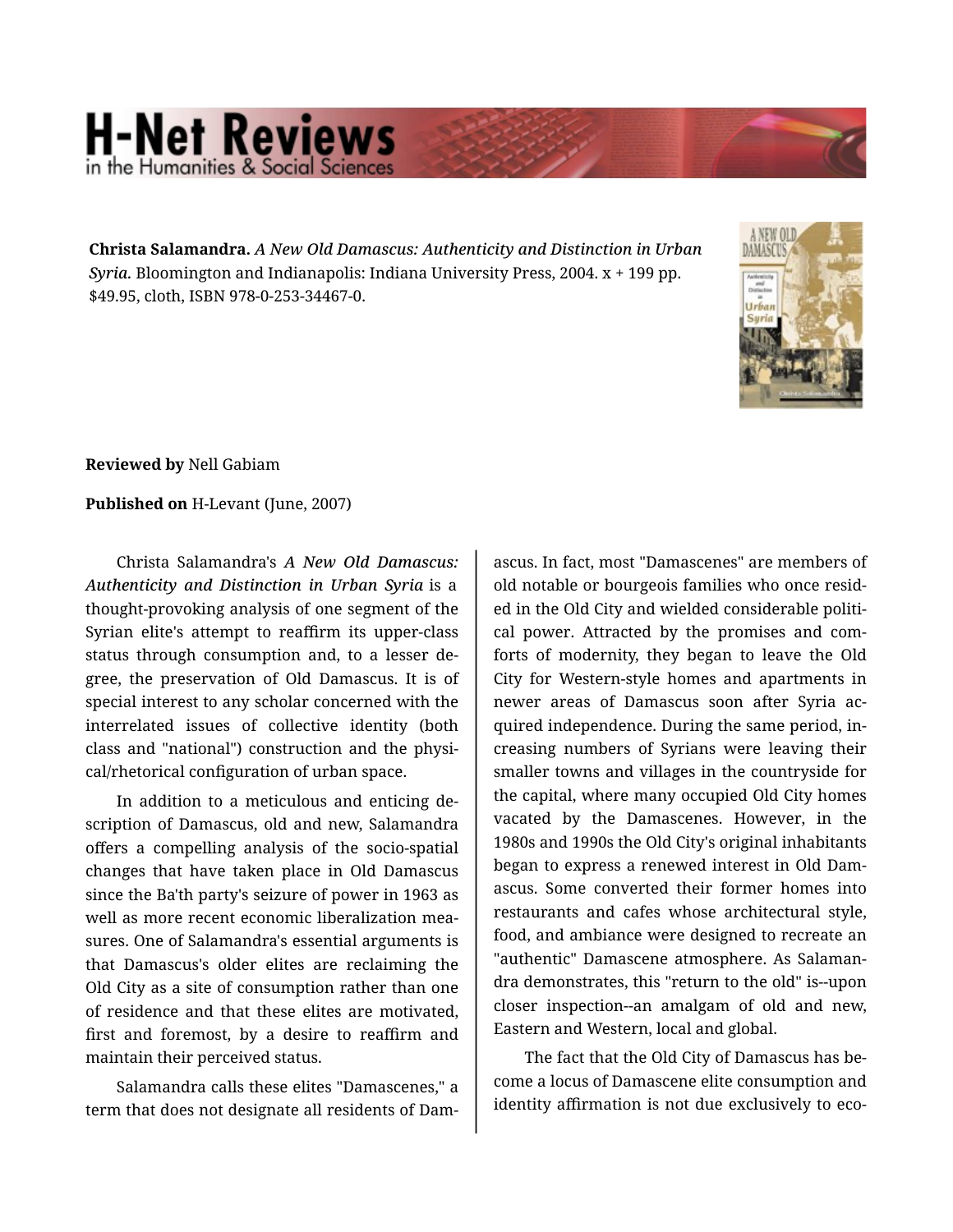## **H-Net Reviews** in the Humanities & Social Scier

**Christa Salamandra.** *A New Old Damascus: Authenticity and Distinction in Urban Syria.* Bloomington and Indianapolis: Indiana University Press, 2004. x + 199 pp. \$49.95, cloth, ISBN 978-0-253-34467-0.



**Reviewed by** Nell Gabiam

## **Published on** H-Levant (June, 2007)

Christa Salamandra's *A New Old Damascus: Authenticity and Distinction in Urban Syria* is a thought-provoking analysis of one segment of the Syrian elite's attempt to reaffirm its upper-class status through consumption and, to a lesser de‐ gree, the preservation of Old Damascus. It is of special interest to any scholar concerned with the interrelated issues of collective identity (both class and "national") construction and the physi‐ cal/rhetorical configuration of urban space.

In addition to a meticulous and enticing de‐ scription of Damascus, old and new, Salamandra offers a compelling analysis of the socio-spatial changes that have taken place in Old Damascus since the Ba'th party's seizure of power in 1963 as well as more recent economic liberalization mea‐ sures. One of Salamandra's essential arguments is that Damascus's older elites are reclaiming the Old City as a site of consumption rather than one of residence and that these elites are motivated, first and foremost, by a desire to reaffirm and maintain their perceived status.

Salamandra calls these elites "Damascenes," a term that does not designate all residents of Dam‐

ascus. In fact, most "Damascenes" are members of old notable or bourgeois families who once resid‐ ed in the Old City and wielded considerable politi‐ cal power. Attracted by the promises and com‐ forts of modernity, they began to leave the Old City for Western-style homes and apartments in newer areas of Damascus soon after Syria ac‐ quired independence. During the same period, in‐ creasing numbers of Syrians were leaving their smaller towns and villages in the countryside for the capital, where many occupied Old City homes vacated by the Damascenes. However, in the 1980s and 1990s the Old City's original inhabitants began to express a renewed interest in Old Dam‐ ascus. Some converted their former homes into restaurants and cafes whose architectural style, food, and ambiance were designed to recreate an "authentic" Damascene atmosphere. As Salaman‐ dra demonstrates, this "return to the old" is--upon closer inspection--an amalgam of old and new, Eastern and Western, local and global.

The fact that the Old City of Damascus has be‐ come a locus of Damascene elite consumption and identity affirmation is not due exclusively to eco‐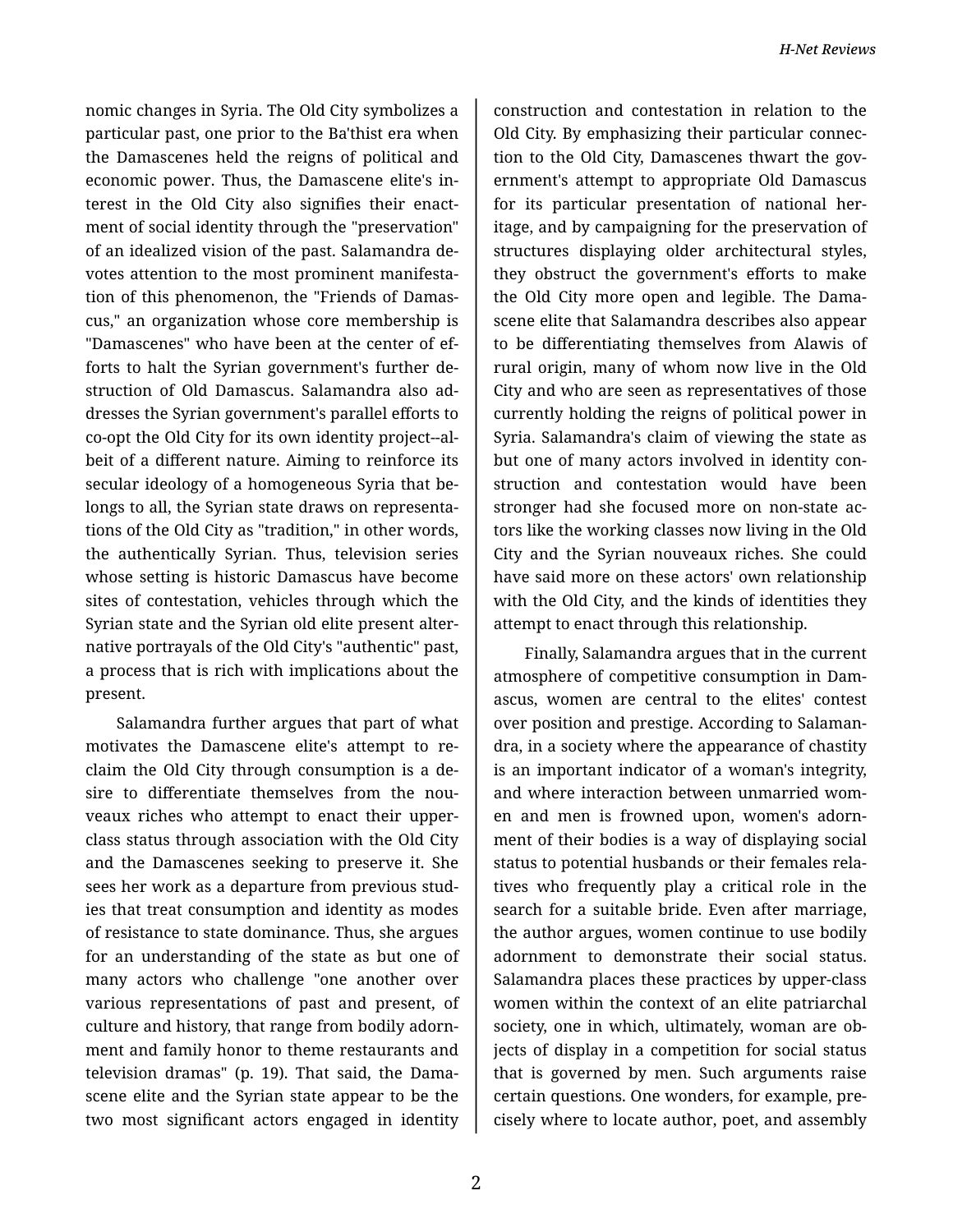nomic changes in Syria. The Old City symbolizes a particular past, one prior to the Ba'thist era when the Damascenes held the reigns of political and economic power. Thus, the Damascene elite's in‐ terest in the Old City also signifies their enact‐ ment of social identity through the "preservation" of an idealized vision of the past. Salamandra de‐ votes attention to the most prominent manifesta‐ tion of this phenomenon, the "Friends of Damas‐ cus," an organization whose core membership is "Damascenes" who have been at the center of ef‐ forts to halt the Syrian government's further de‐ struction of Old Damascus. Salamandra also ad‐ dresses the Syrian government's parallel efforts to co-opt the Old City for its own identity project--al‐ beit of a different nature. Aiming to reinforce its secular ideology of a homogeneous Syria that be‐ longs to all, the Syrian state draws on representa‐ tions of the Old City as "tradition," in other words, the authentically Syrian. Thus, television series whose setting is historic Damascus have become sites of contestation, vehicles through which the Syrian state and the Syrian old elite present alter‐ native portrayals of the Old City's "authentic" past, a process that is rich with implications about the present.

Salamandra further argues that part of what motivates the Damascene elite's attempt to re‐ claim the Old City through consumption is a de‐ sire to differentiate themselves from the nou‐ veaux riches who attempt to enact their upperclass status through association with the Old City and the Damascenes seeking to preserve it. She sees her work as a departure from previous stud‐ ies that treat consumption and identity as modes of resistance to state dominance. Thus, she argues for an understanding of the state as but one of many actors who challenge "one another over various representations of past and present, of culture and history, that range from bodily adorn‐ ment and family honor to theme restaurants and television dramas" (p. 19). That said, the Dama‐ scene elite and the Syrian state appear to be the two most significant actors engaged in identity

construction and contestation in relation to the Old City. By emphasizing their particular connec‐ tion to the Old City, Damascenes thwart the gov‐ ernment's attempt to appropriate Old Damascus for its particular presentation of national heritage, and by campaigning for the preservation of structures displaying older architectural styles, they obstruct the government's efforts to make the Old City more open and legible. The Dama‐ scene elite that Salamandra describes also appear to be differentiating themselves from Alawis of rural origin, many of whom now live in the Old City and who are seen as representatives of those currently holding the reigns of political power in Syria. Salamandra's claim of viewing the state as but one of many actors involved in identity con‐ struction and contestation would have been stronger had she focused more on non-state ac‐ tors like the working classes now living in the Old City and the Syrian nouveaux riches. She could have said more on these actors' own relationship with the Old City, and the kinds of identities they attempt to enact through this relationship.

Finally, Salamandra argues that in the current atmosphere of competitive consumption in Dam‐ ascus, women are central to the elites' contest over position and prestige. According to Salaman‐ dra, in a society where the appearance of chastity is an important indicator of a woman's integrity, and where interaction between unmarried wom‐ en and men is frowned upon, women's adorn‐ ment of their bodies is a way of displaying social status to potential husbands or their females rela‐ tives who frequently play a critical role in the search for a suitable bride. Even after marriage, the author argues, women continue to use bodily adornment to demonstrate their social status. Salamandra places these practices by upper-class women within the context of an elite patriarchal society, one in which, ultimately, woman are ob‐ jects of display in a competition for social status that is governed by men. Such arguments raise certain questions. One wonders, for example, pre‐ cisely where to locate author, poet, and assembly